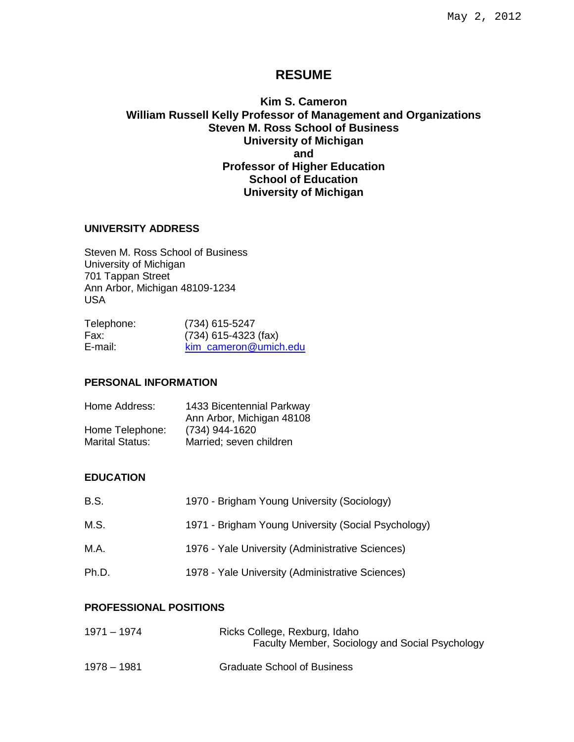# **RESUME**

# **Kim S. Cameron William Russell Kelly Professor of Management and Organizations Steven M. Ross School of Business University of Michigan and Professor of Higher Education School of Education University of Michigan**

### **UNIVERSITY ADDRESS**

Steven M. Ross School of Business University of Michigan 701 Tappan Street Ann Arbor, Michigan 48109-1234 USA

| (734) 615-5247         |
|------------------------|
| $(734)$ 615-4323 (fax) |
| kim cameron@umich.edu  |
|                        |

# **PERSONAL INFORMATION**

| Home Address:          | 1433 Bicentennial Parkway |
|------------------------|---------------------------|
|                        | Ann Arbor, Michigan 48108 |
| Home Telephone:        | (734) 944-1620            |
| <b>Marital Status:</b> | Married; seven children   |

#### **EDUCATION**

| <b>B.S.</b> | 1970 - Brigham Young University (Sociology)         |
|-------------|-----------------------------------------------------|
| M.S.        | 1971 - Brigham Young University (Social Psychology) |
| M.A.        | 1976 - Yale University (Administrative Sciences)    |
| Ph.D.       | 1978 - Yale University (Administrative Sciences)    |

## **PROFESSIONAL POSITIONS**

| 1971 – 1974   | Ricks College, Rexburg, Idaho<br>Faculty Member, Sociology and Social Psychology |
|---------------|----------------------------------------------------------------------------------|
| $1978 - 1981$ | <b>Graduate School of Business</b>                                               |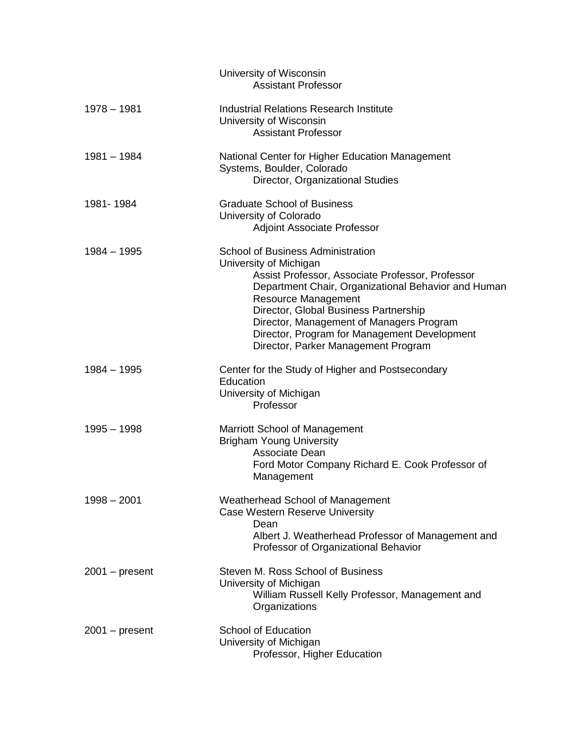|                  | University of Wisconsin<br><b>Assistant Professor</b>                                                                                                                                                                                                                                                                                                                                   |
|------------------|-----------------------------------------------------------------------------------------------------------------------------------------------------------------------------------------------------------------------------------------------------------------------------------------------------------------------------------------------------------------------------------------|
| $1978 - 1981$    | <b>Industrial Relations Research Institute</b><br>University of Wisconsin<br><b>Assistant Professor</b>                                                                                                                                                                                                                                                                                 |
| $1981 - 1984$    | National Center for Higher Education Management<br>Systems, Boulder, Colorado<br>Director, Organizational Studies                                                                                                                                                                                                                                                                       |
| 1981-1984        | <b>Graduate School of Business</b><br>University of Colorado<br><b>Adjoint Associate Professor</b>                                                                                                                                                                                                                                                                                      |
| $1984 - 1995$    | <b>School of Business Administration</b><br>University of Michigan<br>Assist Professor, Associate Professor, Professor<br>Department Chair, Organizational Behavior and Human<br><b>Resource Management</b><br>Director, Global Business Partnership<br>Director, Management of Managers Program<br>Director, Program for Management Development<br>Director, Parker Management Program |
| $1984 - 1995$    | Center for the Study of Higher and Postsecondary<br>Education<br>University of Michigan<br>Professor                                                                                                                                                                                                                                                                                    |
| $1995 - 1998$    | Marriott School of Management<br><b>Brigham Young University</b><br>Associate Dean<br>Ford Motor Company Richard E. Cook Professor of<br>Management                                                                                                                                                                                                                                     |
| $1998 - 2001$    | Weatherhead School of Management<br><b>Case Western Reserve University</b><br>Dean<br>Albert J. Weatherhead Professor of Management and<br>Professor of Organizational Behavior                                                                                                                                                                                                         |
| $2001 - present$ | Steven M. Ross School of Business<br>University of Michigan<br>William Russell Kelly Professor, Management and<br>Organizations                                                                                                                                                                                                                                                         |
| $2001 - present$ | <b>School of Education</b><br>University of Michigan<br>Professor, Higher Education                                                                                                                                                                                                                                                                                                     |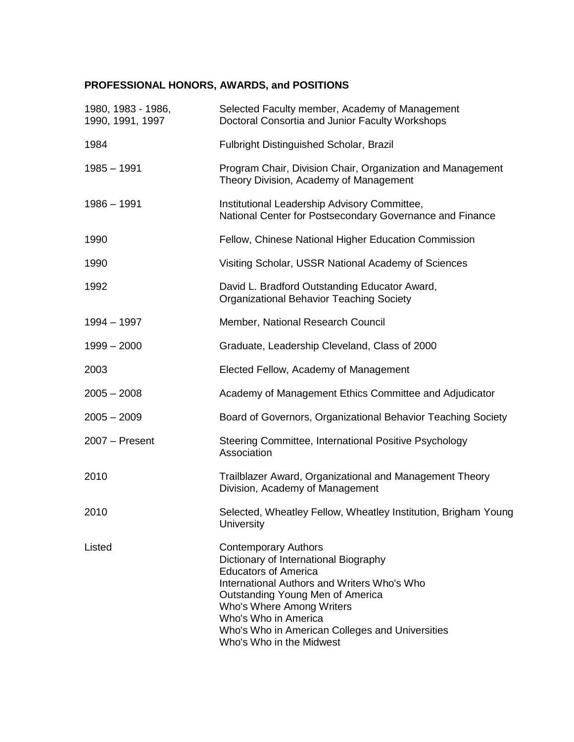# **PROFESSIONAL HONORS, AWARDS, and POSITIONS**

| 1980, 1983 - 1986,<br>1990, 1991, 1997 | Selected Faculty member, Academy of Management<br>Doctoral Consortia and Junior Faculty Workshops                                                                                                                                                                                                                          |
|----------------------------------------|----------------------------------------------------------------------------------------------------------------------------------------------------------------------------------------------------------------------------------------------------------------------------------------------------------------------------|
| 1984                                   | Fulbright Distinguished Scholar, Brazil                                                                                                                                                                                                                                                                                    |
| $1985 - 1991$                          | Program Chair, Division Chair, Organization and Management<br>Theory Division, Academy of Management                                                                                                                                                                                                                       |
| $1986 - 1991$                          | Institutional Leadership Advisory Committee,<br>National Center for Postsecondary Governance and Finance                                                                                                                                                                                                                   |
| 1990                                   | Fellow, Chinese National Higher Education Commission                                                                                                                                                                                                                                                                       |
| 1990                                   | Visiting Scholar, USSR National Academy of Sciences                                                                                                                                                                                                                                                                        |
| 1992                                   | David L. Bradford Outstanding Educator Award,<br><b>Organizational Behavior Teaching Society</b>                                                                                                                                                                                                                           |
| 1994 - 1997                            | Member, National Research Council                                                                                                                                                                                                                                                                                          |
| $1999 - 2000$                          | Graduate, Leadership Cleveland, Class of 2000                                                                                                                                                                                                                                                                              |
| 2003                                   | Elected Fellow, Academy of Management                                                                                                                                                                                                                                                                                      |
| $2005 - 2008$                          | Academy of Management Ethics Committee and Adjudicator                                                                                                                                                                                                                                                                     |
| $2005 - 2009$                          | Board of Governors, Organizational Behavior Teaching Society                                                                                                                                                                                                                                                               |
| 2007 - Present                         | Steering Committee, International Positive Psychology<br>Association                                                                                                                                                                                                                                                       |
| 2010                                   | Trailblazer Award, Organizational and Management Theory<br>Division, Academy of Management                                                                                                                                                                                                                                 |
| 2010                                   | Selected, Wheatley Fellow, Wheatley Institution, Brigham Young<br>University                                                                                                                                                                                                                                               |
| Listed                                 | <b>Contemporary Authors</b><br>Dictionary of International Biography<br><b>Educators of America</b><br>International Authors and Writers Who's Who<br>Outstanding Young Men of America<br>Who's Where Among Writers<br>Who's Who in America<br>Who's Who in American Colleges and Universities<br>Who's Who in the Midwest |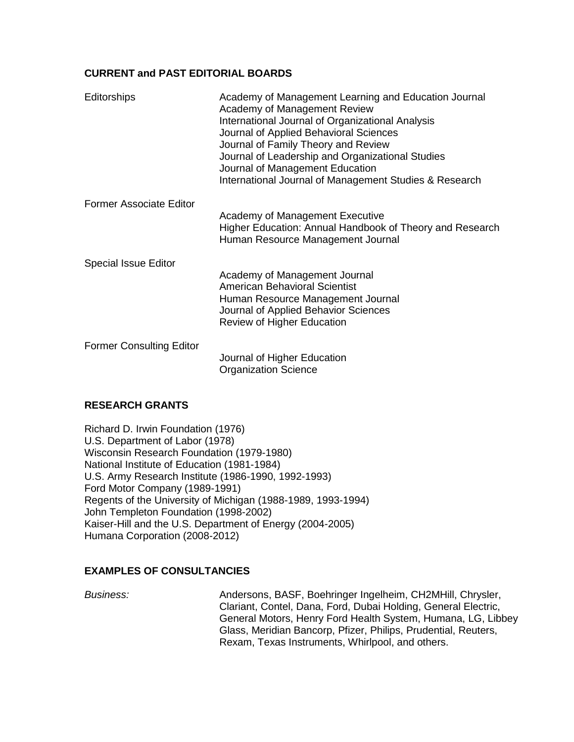## **CURRENT and PAST EDITORIAL BOARDS**

| <b>Editorships</b>              | Academy of Management Learning and Education Journal<br>Academy of Management Review<br>International Journal of Organizational Analysis<br>Journal of Applied Behavioral Sciences<br>Journal of Family Theory and Review<br>Journal of Leadership and Organizational Studies<br>Journal of Management Education<br>International Journal of Management Studies & Research |
|---------------------------------|----------------------------------------------------------------------------------------------------------------------------------------------------------------------------------------------------------------------------------------------------------------------------------------------------------------------------------------------------------------------------|
| <b>Former Associate Editor</b>  | Academy of Management Executive<br>Higher Education: Annual Handbook of Theory and Research<br>Human Resource Management Journal                                                                                                                                                                                                                                           |
| <b>Special Issue Editor</b>     | Academy of Management Journal<br><b>American Behavioral Scientist</b><br>Human Resource Management Journal<br>Journal of Applied Behavior Sciences<br><b>Review of Higher Education</b>                                                                                                                                                                                    |
| <b>Former Consulting Editor</b> | Journal of Higher Education<br><b>Organization Science</b>                                                                                                                                                                                                                                                                                                                 |

## **RESEARCH GRANTS**

Richard D. Irwin Foundation (1976) U.S. Department of Labor (1978) Wisconsin Research Foundation (1979-1980) National Institute of Education (1981-1984) U.S. Army Research Institute (1986-1990, 1992-1993) Ford Motor Company (1989-1991) Regents of the University of Michigan (1988-1989, 1993-1994) John Templeton Foundation (1998-2002) Kaiser-Hill and the U.S. Department of Energy (2004-2005) Humana Corporation (2008-2012)

## **EXAMPLES OF CONSULTANCIES**

*Business:* Andersons, BASF, Boehringer Ingelheim, CH2MHill, Chrysler, Clariant, Contel, Dana, Ford, Dubai Holding, General Electric, General Motors, Henry Ford Health System, Humana, LG, Libbey Glass, Meridian Bancorp, Pfizer, Philips, Prudential, Reuters, Rexam, Texas Instruments, Whirlpool, and others.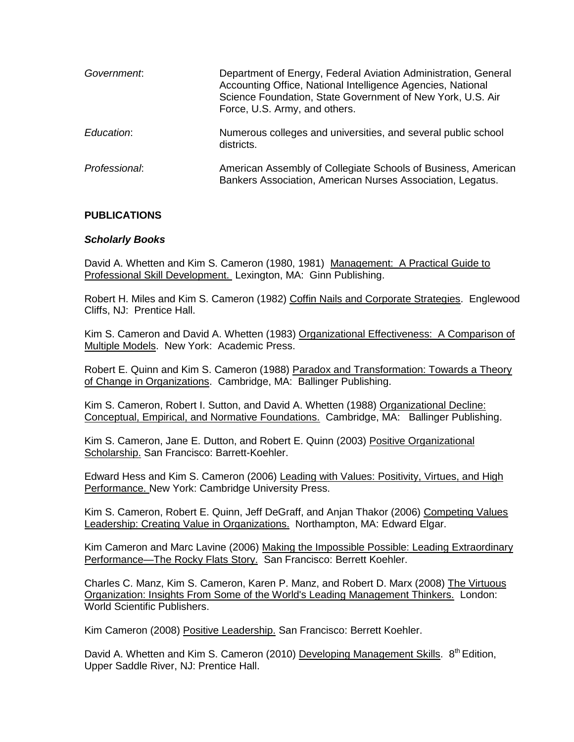| Government.   | Department of Energy, Federal Aviation Administration, General<br>Accounting Office, National Intelligence Agencies, National<br>Science Foundation, State Government of New York, U.S. Air<br>Force, U.S. Army, and others. |
|---------------|------------------------------------------------------------------------------------------------------------------------------------------------------------------------------------------------------------------------------|
| Education:    | Numerous colleges and universities, and several public school<br>districts.                                                                                                                                                  |
| Professional: | American Assembly of Collegiate Schools of Business, American<br>Bankers Association, American Nurses Association, Legatus.                                                                                                  |

## **PUBLICATIONS**

### *Scholarly Books*

David A. Whetten and Kim S. Cameron (1980, 1981) Management: A Practical Guide to Professional Skill Development. Lexington, MA: Ginn Publishing.

Robert H. Miles and Kim S. Cameron (1982) Coffin Nails and Corporate Strategies. Englewood Cliffs, NJ: Prentice Hall.

Kim S. Cameron and David A. Whetten (1983) Organizational Effectiveness: A Comparison of Multiple Models. New York: Academic Press.

Robert E. Quinn and Kim S. Cameron (1988) Paradox and Transformation: Towards a Theory of Change in Organizations. Cambridge, MA: Ballinger Publishing.

Kim S. Cameron, Robert I. Sutton, and David A. Whetten (1988) Organizational Decline: Conceptual, Empirical, and Normative Foundations. Cambridge, MA: Ballinger Publishing.

Kim S. Cameron, Jane E. Dutton, and Robert E. Quinn (2003) Positive Organizational Scholarship. San Francisco: Barrett-Koehler.

Edward Hess and Kim S. Cameron (2006) Leading with Values: Positivity, Virtues, and High Performance. New York: Cambridge University Press.

Kim S. Cameron, Robert E. Quinn, Jeff DeGraff, and Anjan Thakor (2006) Competing Values Leadership: Creating Value in Organizations. Northampton, MA: Edward Elgar.

Kim Cameron and Marc Lavine (2006) Making the Impossible Possible: Leading Extraordinary Performance—The Rocky Flats Story. San Francisco: Berrett Koehler.

Charles C. Manz, Kim S. Cameron, Karen P. Manz, and Robert D. Marx (2008) The Virtuous Organization: Insights From Some of the World's Leading Management Thinkers. London: World Scientific Publishers.

Kim Cameron (2008) Positive Leadership. San Francisco: Berrett Koehler.

David A. Whetten and Kim S. Cameron (2010) Developing Management Skills. 8<sup>th</sup> Edition, Upper Saddle River, NJ: Prentice Hall.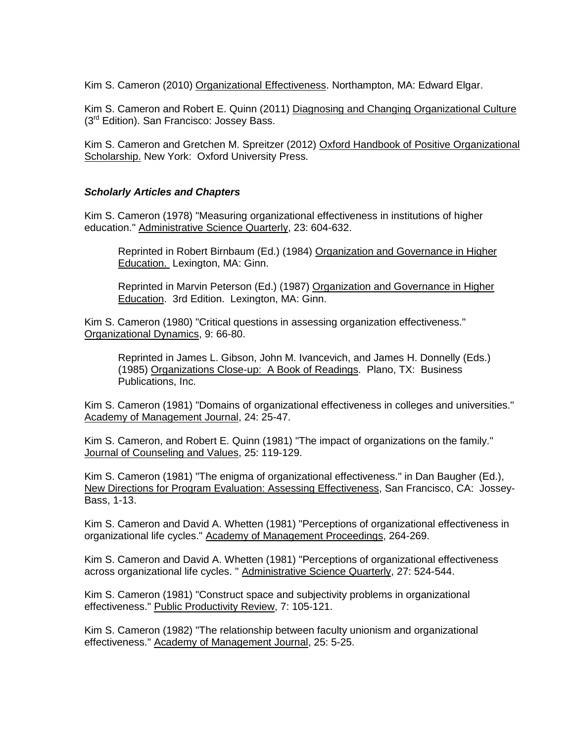Kim S. Cameron (2010) Organizational Effectiveness. Northampton, MA: Edward Elgar.

Kim S. Cameron and Robert E. Quinn (2011) Diagnosing and Changing Organizational Culture (3<sup>rd</sup> Edition). San Francisco: Jossey Bass.

Kim S. Cameron and Gretchen M. Spreitzer (2012) Oxford Handbook of Positive Organizational Scholarship. New York: Oxford University Press.

## *Scholarly Articles and Chapters*

Kim S. Cameron (1978) "Measuring organizational effectiveness in institutions of higher education." Administrative Science Quarterly, 23: 604-632.

Reprinted in Robert Birnbaum (Ed.) (1984) Organization and Governance in Higher Education. Lexington, MA: Ginn.

Reprinted in Marvin Peterson (Ed.) (1987) Organization and Governance in Higher Education. 3rd Edition. Lexington, MA: Ginn.

Kim S. Cameron (1980) "Critical questions in assessing organization effectiveness." Organizational Dynamics, 9: 66-80.

Reprinted in James L. Gibson, John M. Ivancevich, and James H. Donnelly (Eds.) (1985) Organizations Close-up: A Book of Readings. Plano, TX: Business Publications, Inc.

Kim S. Cameron (1981) "Domains of organizational effectiveness in colleges and universities." Academy of Management Journal, 24: 25-47.

Kim S. Cameron, and Robert E. Quinn (1981) "The impact of organizations on the family." Journal of Counseling and Values, 25: 119-129.

Kim S. Cameron (1981) "The enigma of organizational effectiveness." in Dan Baugher (Ed.), New Directions for Program Evaluation: Assessing Effectiveness, San Francisco, CA: Jossey-Bass, 1-13.

Kim S. Cameron and David A. Whetten (1981) "Perceptions of organizational effectiveness in organizational life cycles." Academy of Management Proceedings, 264-269.

Kim S. Cameron and David A. Whetten (1981) "Perceptions of organizational effectiveness across organizational life cycles. " Administrative Science Quarterly, 27: 524-544.

Kim S. Cameron (1981) "Construct space and subjectivity problems in organizational effectiveness." Public Productivity Review, 7: 105-121.

Kim S. Cameron (1982) "The relationship between faculty unionism and organizational effectiveness." Academy of Management Journal, 25: 5-25.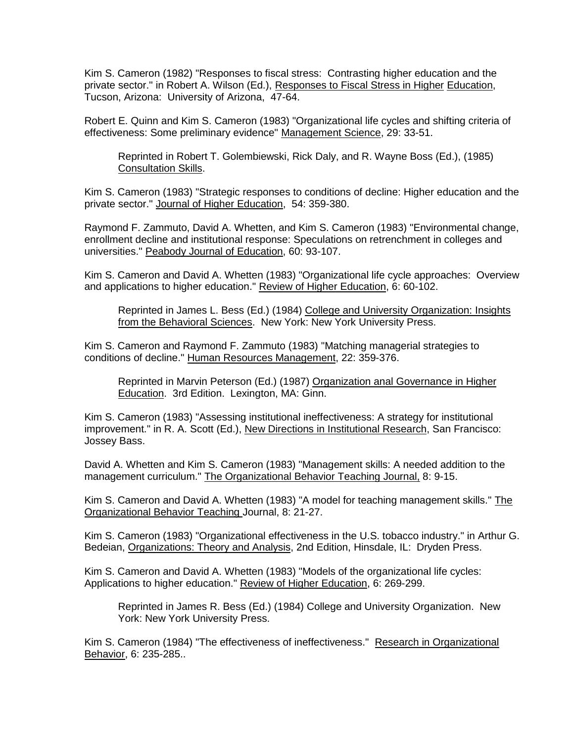Kim S. Cameron (1982) "Responses to fiscal stress: Contrasting higher education and the private sector." in Robert A. Wilson (Ed.), Responses to Fiscal Stress in Higher Education, Tucson, Arizona: University of Arizona, 47-64.

Robert E. Quinn and Kim S. Cameron (1983) "Organizational life cycles and shifting criteria of effectiveness: Some preliminary evidence" Management Science, 29: 33-51.

Reprinted in Robert T. Golembiewski, Rick Daly, and R. Wayne Boss (Ed.), (1985) Consultation Skills.

Kim S. Cameron (1983) "Strategic responses to conditions of decline: Higher education and the private sector." Journal of Higher Education, 54: 359-380.

Raymond F. Zammuto, David A. Whetten, and Kim S. Cameron (1983) "Environmental change, enrollment decline and institutional response: Speculations on retrenchment in colleges and universities." Peabody Journal of Education, 60: 93-107.

Kim S. Cameron and David A. Whetten (1983) "Organizational life cycle approaches: Overview and applications to higher education." Review of Higher Education, 6: 60-102.

Reprinted in James L. Bess (Ed.) (1984) College and University Organization: Insights from the Behavioral Sciences. New York: New York University Press.

Kim S. Cameron and Raymond F. Zammuto (1983) "Matching managerial strategies to conditions of decline." Human Resources Management, 22: 359-376.

Reprinted in Marvin Peterson (Ed.) (1987) Organization anal Governance in Higher Education. 3rd Edition. Lexington, MA: Ginn.

Kim S. Cameron (1983) "Assessing institutional ineffectiveness: A strategy for institutional improvement." in R. A. Scott (Ed.), New Directions in Institutional Research, San Francisco: Jossey Bass.

David A. Whetten and Kim S. Cameron (1983) "Management skills: A needed addition to the management curriculum." The Organizational Behavior Teaching Journal, 8: 9-15.

Kim S. Cameron and David A. Whetten (1983) "A model for teaching management skills." The Organizational Behavior Teaching Journal, 8: 21-27.

Kim S. Cameron (1983) "Organizational effectiveness in the U.S. tobacco industry." in Arthur G. Bedeian, Organizations: Theory and Analysis, 2nd Edition, Hinsdale, IL: Dryden Press.

Kim S. Cameron and David A. Whetten (1983) "Models of the organizational life cycles: Applications to higher education." Review of Higher Education, 6: 269-299.

Reprinted in James R. Bess (Ed.) (1984) College and University Organization. New York: New York University Press.

Kim S. Cameron (1984) "The effectiveness of ineffectiveness." Research in Organizational Behavior, 6: 235-285..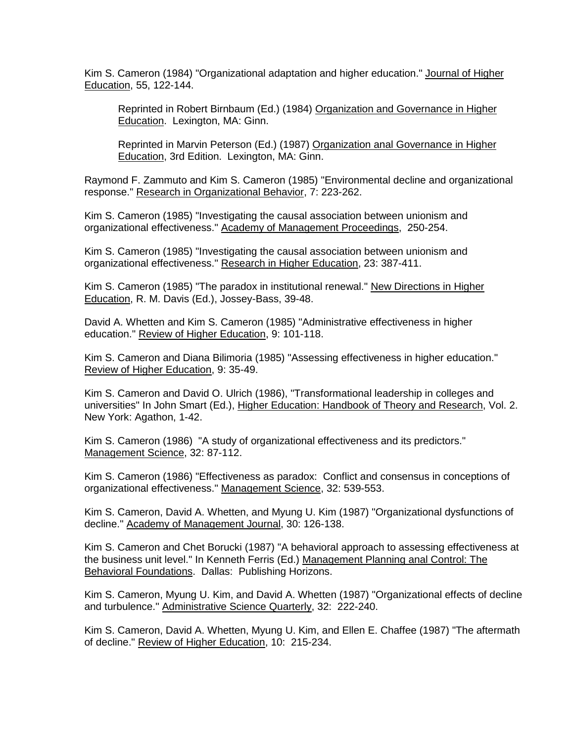Kim S. Cameron (1984) "Organizational adaptation and higher education." Journal of Higher Education, 55, 122-144.

Reprinted in Robert Birnbaum (Ed.) (1984) Organization and Governance in Higher Education. Lexington, MA: Ginn.

Reprinted in Marvin Peterson (Ed.) (1987) Organization anal Governance in Higher Education, 3rd Edition. Lexington, MA: Ginn.

Raymond F. Zammuto and Kim S. Cameron (1985) "Environmental decline and organizational response." Research in Organizational Behavior, 7: 223-262.

Kim S. Cameron (1985) "Investigating the causal association between unionism and organizational effectiveness." Academy of Management Proceedings, 250-254.

Kim S. Cameron (1985) "Investigating the causal association between unionism and organizational effectiveness." Research in Higher Education, 23: 387-411.

Kim S. Cameron (1985) "The paradox in institutional renewal." New Directions in Higher Education, R. M. Davis (Ed.), Jossey-Bass, 39-48.

David A. Whetten and Kim S. Cameron (1985) "Administrative effectiveness in higher education." Review of Higher Education, 9: 101-118.

Kim S. Cameron and Diana Bilimoria (1985) "Assessing effectiveness in higher education." Review of Higher Education, 9: 35-49.

Kim S. Cameron and David O. Ulrich (1986), "Transformational leadership in colleges and universities" In John Smart (Ed.), Higher Education: Handbook of Theory and Research, Vol. 2. New York: Agathon, 1-42.

Kim S. Cameron (1986) "A study of organizational effectiveness and its predictors." Management Science, 32: 87-112.

Kim S. Cameron (1986) "Effectiveness as paradox: Conflict and consensus in conceptions of organizational effectiveness." Management Science, 32: 539-553.

Kim S. Cameron, David A. Whetten, and Myung U. Kim (1987) "Organizational dysfunctions of decline." Academy of Management Journal, 30: 126-138.

Kim S. Cameron and Chet Borucki (1987) "A behavioral approach to assessing effectiveness at the business unit level." In Kenneth Ferris (Ed.) Management Planning anal Control: The Behavioral Foundations. Dallas: Publishing Horizons.

Kim S. Cameron, Myung U. Kim, and David A. Whetten (1987) "Organizational effects of decline and turbulence." Administrative Science Quarterly, 32: 222-240.

Kim S. Cameron, David A. Whetten, Myung U. Kim, and Ellen E. Chaffee (1987) "The aftermath of decline." Review of Higher Education, 10: 215-234.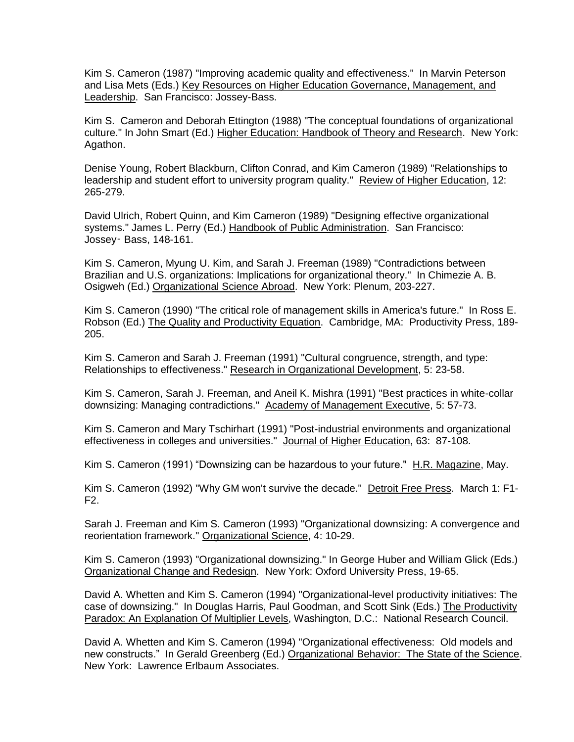Kim S. Cameron (1987) "Improving academic quality and effectiveness." In Marvin Peterson and Lisa Mets (Eds.) Key Resources on Higher Education Governance, Management, and Leadership. San Francisco: Jossey-Bass.

Kim S. Cameron and Deborah Ettington (1988) "The conceptual foundations of organizational culture." In John Smart (Ed.) Higher Education: Handbook of Theory and Research. New York: Agathon.

Denise Young, Robert Blackburn, Clifton Conrad, and Kim Cameron (1989) "Relationships to leadership and student effort to university program quality." Review of Higher Education, 12: 265-279.

David Ulrich, Robert Quinn, and Kim Cameron (1989) "Designing effective organizational systems." James L. Perry (Ed.) Handbook of Public Administration. San Francisco: Jossey‑ Bass, 148-161.

Kim S. Cameron, Myung U. Kim, and Sarah J. Freeman (1989) "Contradictions between Brazilian and U.S. organizations: Implications for organizational theory." In Chimezie A. B. Osigweh (Ed.) Organizational Science Abroad. New York: Plenum, 203-227.

Kim S. Cameron (1990) "The critical role of management skills in America's future." In Ross E. Robson (Ed.) The Quality and Productivity Equation. Cambridge, MA: Productivity Press, 189- 205.

Kim S. Cameron and Sarah J. Freeman (1991) "Cultural congruence, strength, and type: Relationships to effectiveness." Research in Organizational Development, 5: 23-58.

Kim S. Cameron, Sarah J. Freeman, and Aneil K. Mishra (1991) "Best practices in white-collar downsizing: Managing contradictions." Academy of Management Executive, 5: 57-73.

Kim S. Cameron and Mary Tschirhart (1991) "Post-industrial environments and organizational effectiveness in colleges and universities." Journal of Higher Education, 63: 87-108.

Kim S. Cameron (1991) "Downsizing can be hazardous to your future." H.R. Magazine, May.

Kim S. Cameron (1992) "Why GM won't survive the decade." Detroit Free Press. March 1: F1-F2.

Sarah J. Freeman and Kim S. Cameron (1993) "Organizational downsizing: A convergence and reorientation framework." Organizational Science, 4: 10-29.

Kim S. Cameron (1993) "Organizational downsizing." In George Huber and William Glick (Eds.) Organizational Change and Redesign. New York: Oxford University Press, 19-65.

David A. Whetten and Kim S. Cameron (1994) "Organizational-level productivity initiatives: The case of downsizing." In Douglas Harris, Paul Goodman, and Scott Sink (Eds.) The Productivity Paradox: An Explanation Of Multiplier Levels, Washington, D.C.: National Research Council.

David A. Whetten and Kim S. Cameron (1994) "Organizational effectiveness: Old models and new constructs." In Gerald Greenberg (Ed.) Organizational Behavior: The State of the Science. New York: Lawrence Erlbaum Associates.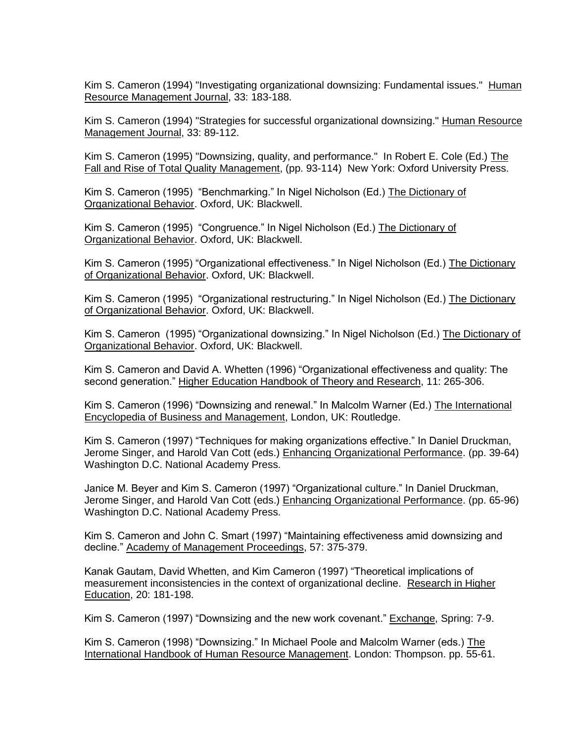Kim S. Cameron (1994) "Investigating organizational downsizing: Fundamental issues." Human Resource Management Journal, 33: 183-188.

Kim S. Cameron (1994) "Strategies for successful organizational downsizing." Human Resource Management Journal, 33: 89-112.

Kim S. Cameron (1995) "Downsizing, quality, and performance." In Robert E. Cole (Ed.) The Fall and Rise of Total Quality Management, (pp. 93-114) New York: Oxford University Press.

Kim S. Cameron (1995) "Benchmarking." In Nigel Nicholson (Ed.) The Dictionary of Organizational Behavior. Oxford, UK: Blackwell.

Kim S. Cameron (1995) "Congruence." In Nigel Nicholson (Ed.) The Dictionary of Organizational Behavior. Oxford, UK: Blackwell.

Kim S. Cameron (1995) "Organizational effectiveness." In Nigel Nicholson (Ed.) The Dictionary of Organizational Behavior. Oxford, UK: Blackwell.

Kim S. Cameron (1995) "Organizational restructuring." In Nigel Nicholson (Ed.) The Dictionary of Organizational Behavior. Oxford, UK: Blackwell.

Kim S. Cameron (1995) "Organizational downsizing." In Nigel Nicholson (Ed.) The Dictionary of Organizational Behavior. Oxford, UK: Blackwell.

Kim S. Cameron and David A. Whetten (1996) "Organizational effectiveness and quality: The second generation." Higher Education Handbook of Theory and Research, 11: 265-306.

Kim S. Cameron (1996) "Downsizing and renewal." In Malcolm Warner (Ed.) The International Encyclopedia of Business and Management, London, UK: Routledge.

Kim S. Cameron (1997) "Techniques for making organizations effective." In Daniel Druckman, Jerome Singer, and Harold Van Cott (eds.) Enhancing Organizational Performance. (pp. 39-64) Washington D.C. National Academy Press.

Janice M. Beyer and Kim S. Cameron (1997) "Organizational culture." In Daniel Druckman, Jerome Singer, and Harold Van Cott (eds.) Enhancing Organizational Performance. (pp. 65-96) Washington D.C. National Academy Press.

Kim S. Cameron and John C. Smart (1997) "Maintaining effectiveness amid downsizing and decline." Academy of Management Proceedings, 57: 375-379.

Kanak Gautam, David Whetten, and Kim Cameron (1997) "Theoretical implications of measurement inconsistencies in the context of organizational decline. Research in Higher Education, 20: 181-198.

Kim S. Cameron (1997) "Downsizing and the new work covenant." Exchange, Spring: 7-9.

Kim S. Cameron (1998) "Downsizing." In Michael Poole and Malcolm Warner (eds.) The International Handbook of Human Resource Management. London: Thompson. pp. 55-61.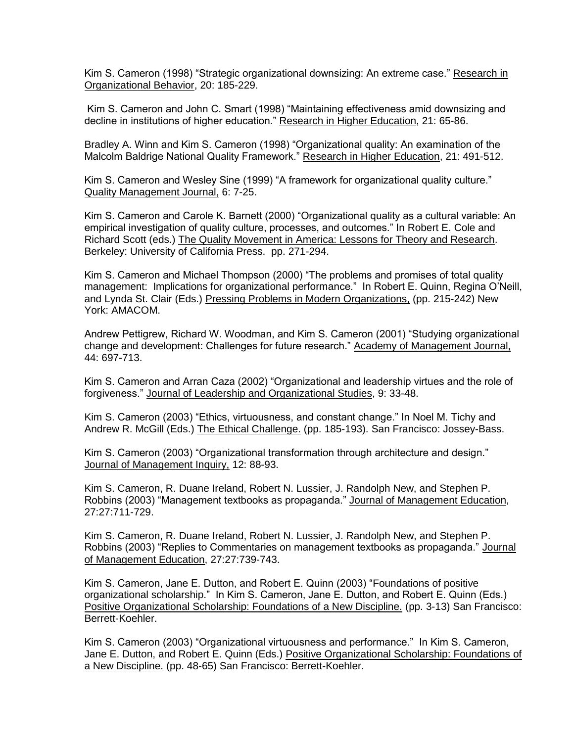Kim S. Cameron (1998) "Strategic organizational downsizing: An extreme case." Research in Organizational Behavior, 20: 185-229.

Kim S. Cameron and John C. Smart (1998) "Maintaining effectiveness amid downsizing and decline in institutions of higher education." Research in Higher Education, 21: 65-86.

Bradley A. Winn and Kim S. Cameron (1998) "Organizational quality: An examination of the Malcolm Baldrige National Quality Framework." Research in Higher Education, 21: 491-512.

Kim S. Cameron and Wesley Sine (1999) "A framework for organizational quality culture." Quality Management Journal, 6: 7-25.

Kim S. Cameron and Carole K. Barnett (2000) "Organizational quality as a cultural variable: An empirical investigation of quality culture, processes, and outcomes." In Robert E. Cole and Richard Scott (eds.) The Quality Movement in America: Lessons for Theory and Research. Berkeley: University of California Press. pp. 271-294.

Kim S. Cameron and Michael Thompson (2000) "The problems and promises of total quality management: Implications for organizational performance." In Robert E. Quinn, Regina O'Neill, and Lynda St. Clair (Eds.) Pressing Problems in Modern Organizations, (pp. 215-242) New York: AMACOM.

Andrew Pettigrew, Richard W. Woodman, and Kim S. Cameron (2001) "Studying organizational change and development: Challenges for future research." Academy of Management Journal, 44: 697-713.

Kim S. Cameron and Arran Caza (2002) "Organizational and leadership virtues and the role of forgiveness." Journal of Leadership and Organizational Studies, 9: 33-48.

Kim S. Cameron (2003) "Ethics, virtuousness, and constant change." In Noel M. Tichy and Andrew R. McGill (Eds.) The Ethical Challenge. (pp. 185-193). San Francisco: Jossey-Bass.

Kim S. Cameron (2003) "Organizational transformation through architecture and design." Journal of Management Inquiry, 12: 88-93.

Kim S. Cameron, R. Duane Ireland, Robert N. Lussier, J. Randolph New, and Stephen P. Robbins (2003) "Management textbooks as propaganda." Journal of Management Education, 27:27:711-729.

Kim S. Cameron, R. Duane Ireland, Robert N. Lussier, J. Randolph New, and Stephen P. Robbins (2003) "Replies to Commentaries on management textbooks as propaganda." Journal of Management Education, 27:27:739-743.

Kim S. Cameron, Jane E. Dutton, and Robert E. Quinn (2003) "Foundations of positive organizational scholarship." In Kim S. Cameron, Jane E. Dutton, and Robert E. Quinn (Eds.) Positive Organizational Scholarship: Foundations of a New Discipline. (pp. 3-13) San Francisco: Berrett-Koehler.

Kim S. Cameron (2003) "Organizational virtuousness and performance." In Kim S. Cameron, Jane E. Dutton, and Robert E. Quinn (Eds.) Positive Organizational Scholarship: Foundations of a New Discipline. (pp. 48-65) San Francisco: Berrett-Koehler.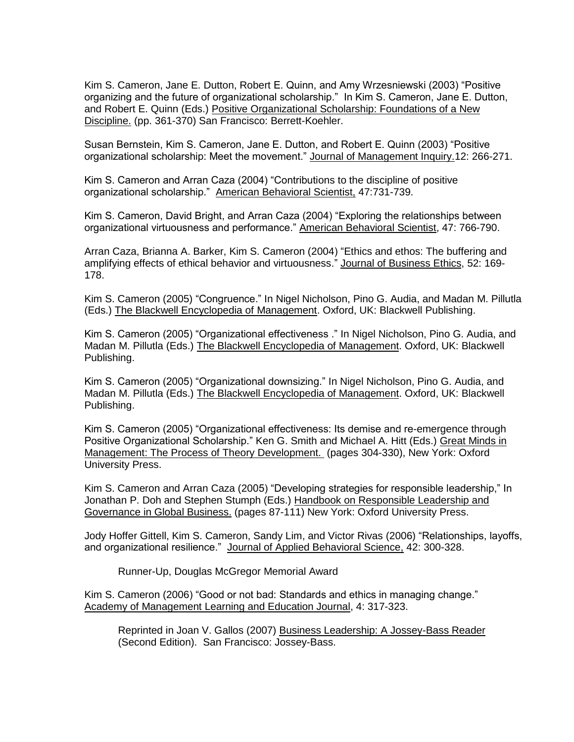Kim S. Cameron, Jane E. Dutton, Robert E. Quinn, and Amy Wrzesniewski (2003) "Positive organizing and the future of organizational scholarship." In Kim S. Cameron, Jane E. Dutton, and Robert E. Quinn (Eds.) Positive Organizational Scholarship: Foundations of a New Discipline. (pp. 361-370) San Francisco: Berrett-Koehler.

Susan Bernstein, Kim S. Cameron, Jane E. Dutton, and Robert E. Quinn (2003) "Positive organizational scholarship: Meet the movement." Journal of Management Inquiry.12: 266-271.

Kim S. Cameron and Arran Caza (2004) "Contributions to the discipline of positive organizational scholarship." American Behavioral Scientist, 47:731-739.

Kim S. Cameron, David Bright, and Arran Caza (2004) "Exploring the relationships between organizational virtuousness and performance." American Behavioral Scientist, 47: 766-790.

Arran Caza, Brianna A. Barker, Kim S. Cameron (2004) "Ethics and ethos: The buffering and amplifying effects of ethical behavior and virtuousness." Journal of Business Ethics, 52: 169- 178.

Kim S. Cameron (2005) "Congruence." In Nigel Nicholson, Pino G. Audia, and Madan M. Pillutla (Eds.) The Blackwell Encyclopedia of Management. Oxford, UK: Blackwell Publishing.

Kim S. Cameron (2005) "Organizational effectiveness ." In Nigel Nicholson, Pino G. Audia, and Madan M. Pillutla (Eds.) The Blackwell Encyclopedia of Management. Oxford, UK: Blackwell Publishing.

Kim S. Cameron (2005) "Organizational downsizing." In Nigel Nicholson, Pino G. Audia, and Madan M. Pillutla (Eds.) The Blackwell Encyclopedia of Management. Oxford, UK: Blackwell Publishing.

Kim S. Cameron (2005) "Organizational effectiveness: Its demise and re-emergence through Positive Organizational Scholarship." Ken G. Smith and Michael A. Hitt (Eds.) Great Minds in Management: The Process of Theory Development. (pages 304-330), New York: Oxford University Press.

Kim S. Cameron and Arran Caza (2005) "Developing strategies for responsible leadership," In Jonathan P. Doh and Stephen Stumph (Eds.) Handbook on Responsible Leadership and Governance in Global Business. (pages 87-111) New York: Oxford University Press.

Jody Hoffer Gittell, Kim S. Cameron, Sandy Lim, and Victor Rivas (2006) "Relationships, layoffs, and organizational resilience." Journal of Applied Behavioral Science, 42: 300-328.

Runner-Up, Douglas McGregor Memorial Award

Kim S. Cameron (2006) "Good or not bad: Standards and ethics in managing change." Academy of Management Learning and Education Journal, 4: 317-323.

Reprinted in Joan V. Gallos (2007) Business Leadership: A Jossey-Bass Reader (Second Edition). San Francisco: Jossey-Bass.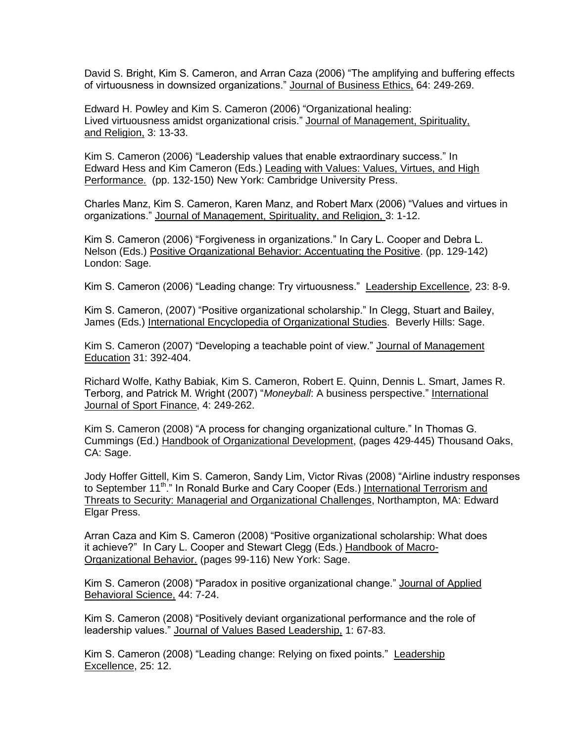David S. Bright, Kim S. Cameron, and Arran Caza (2006) "The amplifying and buffering effects of virtuousness in downsized organizations." Journal of Business Ethics, 64: 249-269.

Edward H. Powley and Kim S. Cameron (2006) "Organizational healing: Lived virtuousness amidst organizational crisis." Journal of Management, Spirituality, and Religion, 3: 13-33.

Kim S. Cameron (2006) "Leadership values that enable extraordinary success." In Edward Hess and Kim Cameron (Eds.) Leading with Values: Values, Virtues, and High Performance. (pp. 132-150) New York: Cambridge University Press.

Charles Manz, Kim S. Cameron, Karen Manz, and Robert Marx (2006) "Values and virtues in organizations." Journal of Management, Spirituality, and Religion, 3: 1-12.

Kim S. Cameron (2006) "Forgiveness in organizations." In Cary L. Cooper and Debra L. Nelson (Eds.) Positive Organizational Behavior: Accentuating the Positive. (pp. 129-142) London: Sage.

Kim S. Cameron (2006) "Leading change: Try virtuousness." Leadership Excellence, 23: 8-9.

Kim S. Cameron, (2007) "Positive organizational scholarship." In Clegg, Stuart and Bailey, James (Eds.) International Encyclopedia of Organizational Studies. Beverly Hills: Sage.

Kim S. Cameron (2007) "Developing a teachable point of view." Journal of Management Education 31: 392-404.

Richard Wolfe, Kathy Babiak, Kim S. Cameron, Robert E. Quinn, Dennis L. Smart, James R. Terborg, and Patrick M. Wright (2007) "*Moneyball*: A business perspective." International Journal of Sport Finance, 4: 249-262.

Kim S. Cameron (2008) "A process for changing organizational culture." In Thomas G. Cummings (Ed.) Handbook of Organizational Development, (pages 429-445) Thousand Oaks, CA: Sage.

Jody Hoffer Gittell, Kim S. Cameron, Sandy Lim, Victor Rivas (2008) "Airline industry responses to September 11<sup>th</sup>." In Ronald Burke and Cary Cooper (Eds.) International Terrorism and Threats to Security: Managerial and Organizational Challenges, Northampton, MA: Edward Elgar Press.

Arran Caza and Kim S. Cameron (2008) "Positive organizational scholarship: What does it achieve?" In Cary L. Cooper and Stewart Clegg (Eds.) Handbook of Macro-Organizational Behavior. (pages 99-116) New York: Sage.

Kim S. Cameron (2008) "Paradox in positive organizational change." Journal of Applied Behavioral Science, 44: 7-24.

Kim S. Cameron (2008) "Positively deviant organizational performance and the role of leadership values." Journal of Values Based Leadership, 1: 67-83.

Kim S. Cameron (2008) "Leading change: Relying on fixed points." Leadership Excellence, 25: 12.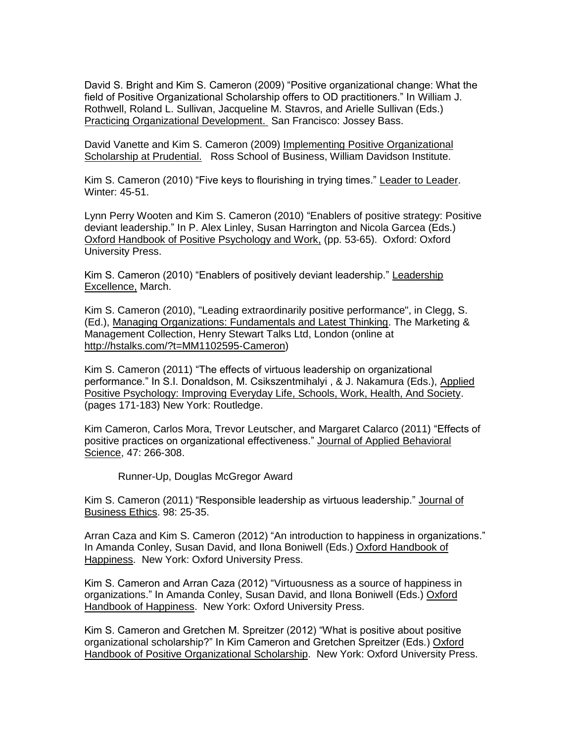David S. Bright and Kim S. Cameron (2009) "Positive organizational change: What the field of Positive Organizational Scholarship offers to OD practitioners." In William J. Rothwell, Roland L. Sullivan, Jacqueline M. Stavros, and Arielle Sullivan (Eds.) Practicing Organizational Development. San Francisco: Jossey Bass.

David Vanette and Kim S. Cameron (2009) Implementing Positive Organizational Scholarship at Prudential. Ross School of Business, William Davidson Institute.

Kim S. Cameron (2010) "Five keys to flourishing in trying times." Leader to Leader. Winter: 45-51.

Lynn Perry Wooten and Kim S. Cameron (2010) "Enablers of positive strategy: Positive deviant leadership." In P. Alex Linley, Susan Harrington and Nicola Garcea (Eds.) Oxford Handbook of Positive Psychology and Work, (pp. 53-65). Oxford: Oxford University Press.

Kim S. Cameron (2010) "Enablers of positively deviant leadership." Leadership Excellence, March.

Kim S. Cameron (2010), "Leading extraordinarily positive performance", in Clegg, S. (Ed.), Managing Organizations: Fundamentals and Latest Thinking. The Marketing & Management Collection, Henry Stewart Talks Ltd, London (online at [http://hstalks.com/?t=MM1102595-Cameron\)](https://exchange.umich.edu/owa/redir.aspx?C=b7278cf70f784c7cad8547a00e712617&URL=http%3a%2f%2fhstalks.com%2f%3ft%3dMM1102595-Cameron)

Kim S. Cameron (2011) "The effects of virtuous leadership on organizational performance." In S.I. Donaldson, M. Csikszentmihalyi , & J. Nakamura (Eds.), Applied Positive Psychology: Improving Everyday Life, Schools, Work, Health, And Society. (pages 171-183) New York: Routledge.

Kim Cameron, Carlos Mora, Trevor Leutscher, and Margaret Calarco (2011) "Effects of positive practices on organizational effectiveness." Journal of Applied Behavioral Science, 47: 266-308.

Runner-Up, Douglas McGregor Award

Kim S. Cameron (2011) "Responsible leadership as virtuous leadership." Journal of Business Ethics. 98: 25-35.

Arran Caza and Kim S. Cameron (2012) "An introduction to happiness in organizations." In Amanda Conley, Susan David, and Ilona Boniwell (Eds.) Oxford Handbook of Happiness. New York: Oxford University Press.

Kim S. Cameron and Arran Caza (2012) "Virtuousness as a source of happiness in organizations." In Amanda Conley, Susan David, and Ilona Boniwell (Eds.) Oxford Handbook of Happiness. New York: Oxford University Press.

Kim S. Cameron and Gretchen M. Spreitzer (2012) "What is positive about positive organizational scholarship?" In Kim Cameron and Gretchen Spreitzer (Eds.) Oxford Handbook of Positive Organizational Scholarship. New York: Oxford University Press.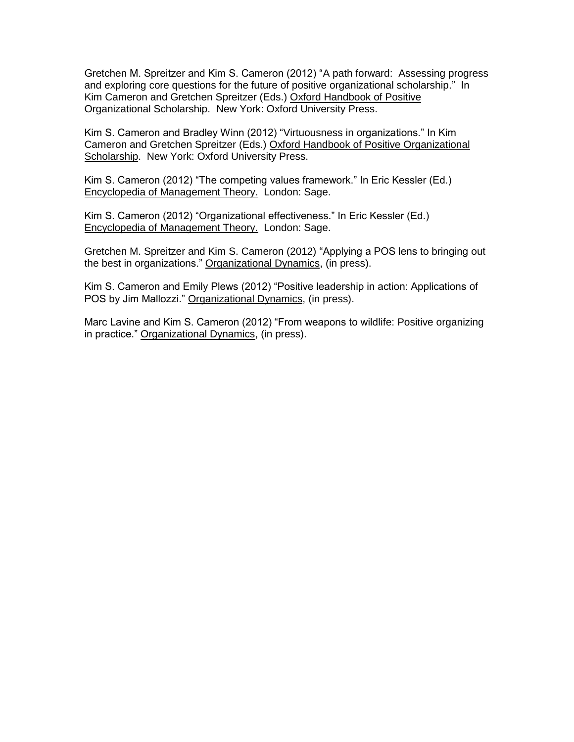Gretchen M. Spreitzer and Kim S. Cameron (2012) "A path forward: Assessing progress and exploring core questions for the future of positive organizational scholarship." In Kim Cameron and Gretchen Spreitzer (Eds.) Oxford Handbook of Positive Organizational Scholarship. New York: Oxford University Press.

Kim S. Cameron and Bradley Winn (2012) "Virtuousness in organizations." In Kim Cameron and Gretchen Spreitzer (Eds.) Oxford Handbook of Positive Organizational Scholarship. New York: Oxford University Press.

Kim S. Cameron (2012) "The competing values framework." In Eric Kessler (Ed.) Encyclopedia of Management Theory. London: Sage.

Kim S. Cameron (2012) "Organizational effectiveness." In Eric Kessler (Ed.) Encyclopedia of Management Theory. London: Sage.

Gretchen M. Spreitzer and Kim S. Cameron (2012) "Applying a POS lens to bringing out the best in organizations." Organizational Dynamics, (in press).

Kim S. Cameron and Emily Plews (2012) "Positive leadership in action: Applications of POS by Jim Mallozzi." Organizational Dynamics, (in press).

Marc Lavine and Kim S. Cameron (2012) "From weapons to wildlife: Positive organizing in practice." Organizational Dynamics, (in press).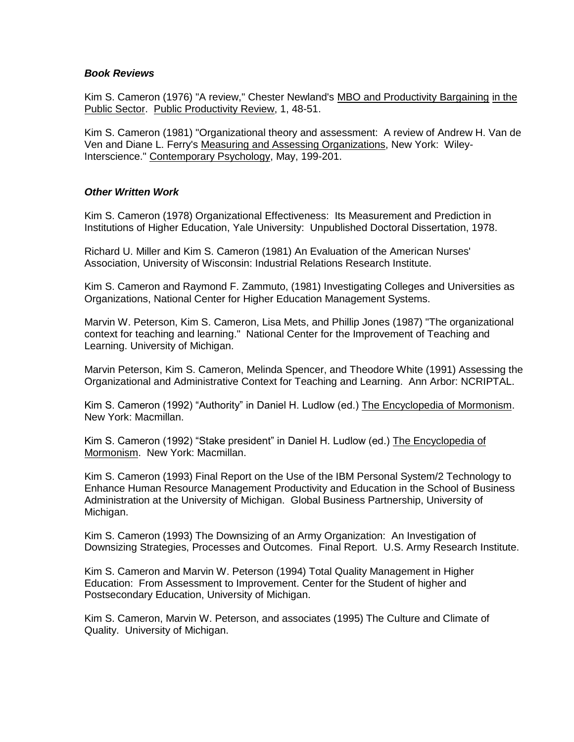#### *Book Reviews*

Kim S. Cameron (1976) "A review," Chester Newland's MBO and Productivity Bargaining in the Public Sector. Public Productivity Review, 1, 48-51.

Kim S. Cameron (1981) "Organizational theory and assessment: A review of Andrew H. Van de Ven and Diane L. Ferry's Measuring and Assessing Organizations, New York: Wiley-Interscience." Contemporary Psychology, May, 199-201.

### *Other Written Work*

Kim S. Cameron (1978) Organizational Effectiveness: Its Measurement and Prediction in Institutions of Higher Education, Yale University: Unpublished Doctoral Dissertation, 1978.

Richard U. Miller and Kim S. Cameron (1981) An Evaluation of the American Nurses' Association, University of Wisconsin: Industrial Relations Research Institute.

Kim S. Cameron and Raymond F. Zammuto, (1981) Investigating Colleges and Universities as Organizations, National Center for Higher Education Management Systems.

Marvin W. Peterson, Kim S. Cameron, Lisa Mets, and Phillip Jones (1987) "The organizational context for teaching and learning." National Center for the Improvement of Teaching and Learning. University of Michigan.

Marvin Peterson, Kim S. Cameron, Melinda Spencer, and Theodore White (1991) Assessing the Organizational and Administrative Context for Teaching and Learning. Ann Arbor: NCRIPTAL.

Kim S. Cameron (1992) "Authority" in Daniel H. Ludlow (ed.) The Encyclopedia of Mormonism. New York: Macmillan.

Kim S. Cameron (1992) "Stake president" in Daniel H. Ludlow (ed.) The Encyclopedia of Mormonism. New York: Macmillan.

Kim S. Cameron (1993) Final Report on the Use of the IBM Personal System/2 Technology to Enhance Human Resource Management Productivity and Education in the School of Business Administration at the University of Michigan. Global Business Partnership, University of Michigan.

Kim S. Cameron (1993) The Downsizing of an Army Organization: An Investigation of Downsizing Strategies, Processes and Outcomes. Final Report. U.S. Army Research Institute.

Kim S. Cameron and Marvin W. Peterson (1994) Total Quality Management in Higher Education: From Assessment to Improvement. Center for the Student of higher and Postsecondary Education, University of Michigan.

Kim S. Cameron, Marvin W. Peterson, and associates (1995) The Culture and Climate of Quality. University of Michigan.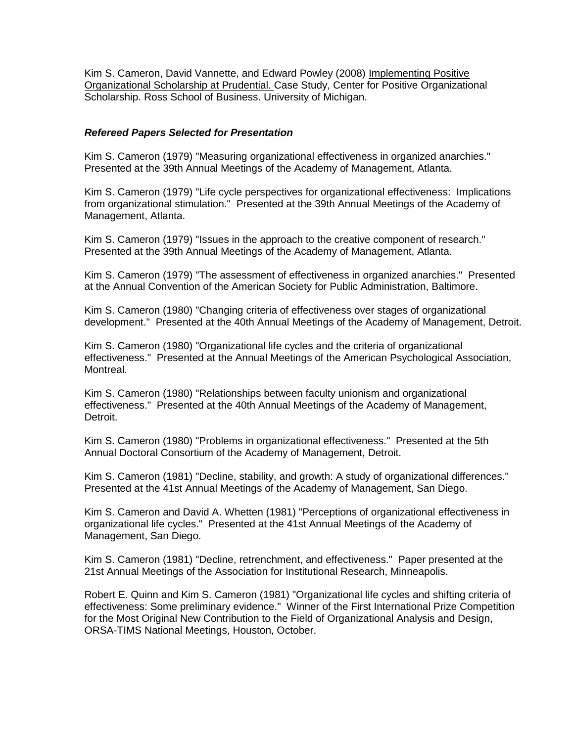Kim S. Cameron, David Vannette, and Edward Powley (2008) Implementing Positive Organizational Scholarship at Prudential. Case Study, Center for Positive Organizational Scholarship. Ross School of Business. University of Michigan.

#### *Refereed Papers Selected for Presentation*

Kim S. Cameron (1979) "Measuring organizational effectiveness in organized anarchies." Presented at the 39th Annual Meetings of the Academy of Management, Atlanta.

Kim S. Cameron (1979) "Life cycle perspectives for organizational effectiveness: Implications from organizational stimulation." Presented at the 39th Annual Meetings of the Academy of Management, Atlanta.

Kim S. Cameron (1979) "Issues in the approach to the creative component of research." Presented at the 39th Annual Meetings of the Academy of Management, Atlanta.

Kim S. Cameron (1979) "The assessment of effectiveness in organized anarchies." Presented at the Annual Convention of the American Society for Public Administration, Baltimore.

Kim S. Cameron (1980) "Changing criteria of effectiveness over stages of organizational development." Presented at the 40th Annual Meetings of the Academy of Management, Detroit.

Kim S. Cameron (1980) "Organizational life cycles and the criteria of organizational effectiveness." Presented at the Annual Meetings of the American Psychological Association, Montreal.

Kim S. Cameron (1980) "Relationships between faculty unionism and organizational effectiveness." Presented at the 40th Annual Meetings of the Academy of Management, Detroit.

Kim S. Cameron (1980) "Problems in organizational effectiveness." Presented at the 5th Annual Doctoral Consortium of the Academy of Management, Detroit.

Kim S. Cameron (1981) "Decline, stability, and growth: A study of organizational differences." Presented at the 41st Annual Meetings of the Academy of Management, San Diego.

Kim S. Cameron and David A. Whetten (1981) "Perceptions of organizational effectiveness in organizational life cycles." Presented at the 41st Annual Meetings of the Academy of Management, San Diego.

Kim S. Cameron (1981) "Decline, retrenchment, and effectiveness." Paper presented at the 21st Annual Meetings of the Association for Institutional Research, Minneapolis.

Robert E. Quinn and Kim S. Cameron (1981) "Organizational life cycles and shifting criteria of effectiveness: Some preliminary evidence." Winner of the First International Prize Competition for the Most Original New Contribution to the Field of Organizational Analysis and Design, ORSA-TIMS National Meetings, Houston, October.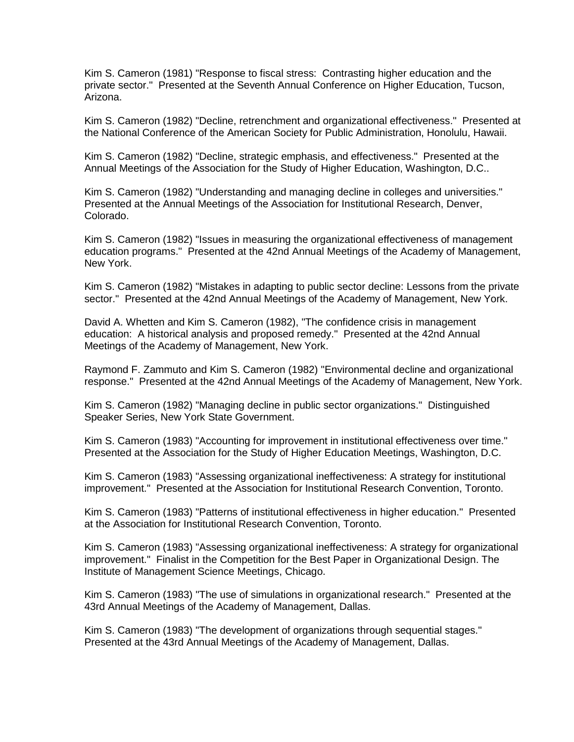Kim S. Cameron (1981) "Response to fiscal stress: Contrasting higher education and the private sector." Presented at the Seventh Annual Conference on Higher Education, Tucson, Arizona.

Kim S. Cameron (1982) "Decline, retrenchment and organizational effectiveness." Presented at the National Conference of the American Society for Public Administration, Honolulu, Hawaii.

Kim S. Cameron (1982) "Decline, strategic emphasis, and effectiveness." Presented at the Annual Meetings of the Association for the Study of Higher Education, Washington, D.C..

Kim S. Cameron (1982) "Understanding and managing decline in colleges and universities." Presented at the Annual Meetings of the Association for Institutional Research, Denver, Colorado.

Kim S. Cameron (1982) "Issues in measuring the organizational effectiveness of management education programs." Presented at the 42nd Annual Meetings of the Academy of Management, New York.

Kim S. Cameron (1982) "Mistakes in adapting to public sector decline: Lessons from the private sector." Presented at the 42nd Annual Meetings of the Academy of Management, New York.

David A. Whetten and Kim S. Cameron (1982), "The confidence crisis in management education: A historical analysis and proposed remedy." Presented at the 42nd Annual Meetings of the Academy of Management, New York.

Raymond F. Zammuto and Kim S. Cameron (1982) "Environmental decline and organizational response." Presented at the 42nd Annual Meetings of the Academy of Management, New York.

Kim S. Cameron (1982) "Managing decline in public sector organizations." Distinguished Speaker Series, New York State Government.

Kim S. Cameron (1983) "Accounting for improvement in institutional effectiveness over time." Presented at the Association for the Study of Higher Education Meetings, Washington, D.C.

Kim S. Cameron (1983) "Assessing organizational ineffectiveness: A strategy for institutional improvement." Presented at the Association for Institutional Research Convention, Toronto.

Kim S. Cameron (1983) "Patterns of institutional effectiveness in higher education." Presented at the Association for Institutional Research Convention, Toronto.

Kim S. Cameron (1983) "Assessing organizational ineffectiveness: A strategy for organizational improvement." Finalist in the Competition for the Best Paper in Organizational Design. The Institute of Management Science Meetings, Chicago.

Kim S. Cameron (1983) "The use of simulations in organizational research." Presented at the 43rd Annual Meetings of the Academy of Management, Dallas.

Kim S. Cameron (1983) "The development of organizations through sequential stages." Presented at the 43rd Annual Meetings of the Academy of Management, Dallas.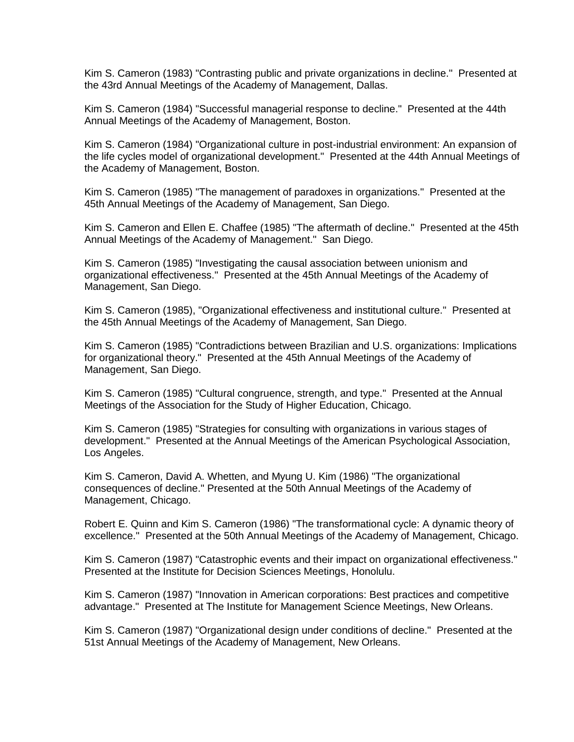Kim S. Cameron (1983) "Contrasting public and private organizations in decline." Presented at the 43rd Annual Meetings of the Academy of Management, Dallas.

Kim S. Cameron (1984) "Successful managerial response to decline." Presented at the 44th Annual Meetings of the Academy of Management, Boston.

Kim S. Cameron (1984) "Organizational culture in post-industrial environment: An expansion of the life cycles model of organizational development." Presented at the 44th Annual Meetings of the Academy of Management, Boston.

Kim S. Cameron (1985) "The management of paradoxes in organizations." Presented at the 45th Annual Meetings of the Academy of Management, San Diego.

Kim S. Cameron and Ellen E. Chaffee (1985) "The aftermath of decline." Presented at the 45th Annual Meetings of the Academy of Management." San Diego.

Kim S. Cameron (1985) "Investigating the causal association between unionism and organizational effectiveness." Presented at the 45th Annual Meetings of the Academy of Management, San Diego.

Kim S. Cameron (1985), "Organizational effectiveness and institutional culture." Presented at the 45th Annual Meetings of the Academy of Management, San Diego.

Kim S. Cameron (1985) "Contradictions between Brazilian and U.S. organizations: Implications for organizational theory." Presented at the 45th Annual Meetings of the Academy of Management, San Diego.

Kim S. Cameron (1985) "Cultural congruence, strength, and type." Presented at the Annual Meetings of the Association for the Study of Higher Education, Chicago.

Kim S. Cameron (1985) "Strategies for consulting with organizations in various stages of development." Presented at the Annual Meetings of the American Psychological Association, Los Angeles.

Kim S. Cameron, David A. Whetten, and Myung U. Kim (1986) "The organizational consequences of decline." Presented at the 50th Annual Meetings of the Academy of Management, Chicago.

Robert E. Quinn and Kim S. Cameron (1986) "The transformational cycle: A dynamic theory of excellence." Presented at the 50th Annual Meetings of the Academy of Management, Chicago.

Kim S. Cameron (1987) "Catastrophic events and their impact on organizational effectiveness." Presented at the Institute for Decision Sciences Meetings, Honolulu.

Kim S. Cameron (1987) "Innovation in American corporations: Best practices and competitive advantage." Presented at The Institute for Management Science Meetings, New Orleans.

Kim S. Cameron (1987) "Organizational design under conditions of decline." Presented at the 51st Annual Meetings of the Academy of Management, New Orleans.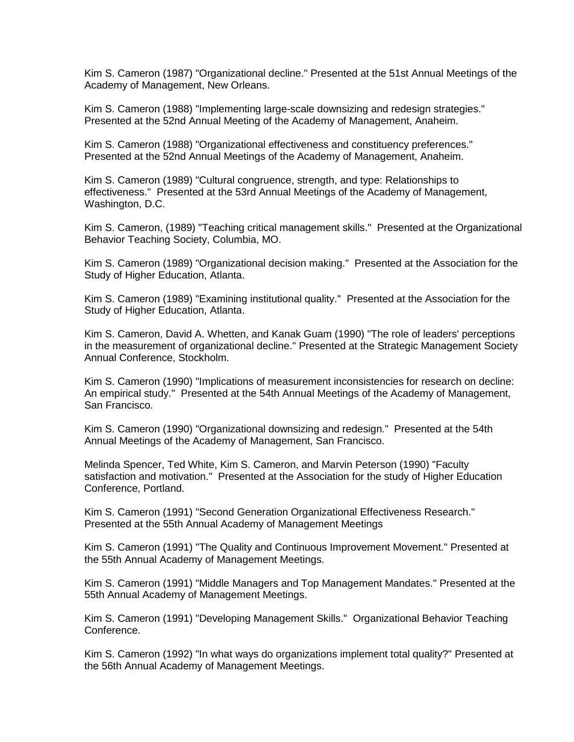Kim S. Cameron (1987) "Organizational decline." Presented at the 51st Annual Meetings of the Academy of Management, New Orleans.

Kim S. Cameron (1988) "Implementing large-scale downsizing and redesign strategies." Presented at the 52nd Annual Meeting of the Academy of Management, Anaheim.

Kim S. Cameron (1988) "Organizational effectiveness and constituency preferences." Presented at the 52nd Annual Meetings of the Academy of Management, Anaheim.

Kim S. Cameron (1989) "Cultural congruence, strength, and type: Relationships to effectiveness." Presented at the 53rd Annual Meetings of the Academy of Management, Washington, D.C.

Kim S. Cameron, (1989) "Teaching critical management skills." Presented at the Organizational Behavior Teaching Society, Columbia, MO.

Kim S. Cameron (1989) "Organizational decision making." Presented at the Association for the Study of Higher Education, Atlanta.

Kim S. Cameron (1989) "Examining institutional quality." Presented at the Association for the Study of Higher Education, Atlanta.

Kim S. Cameron, David A. Whetten, and Kanak Guam (1990) "The role of leaders' perceptions in the measurement of organizational decline." Presented at the Strategic Management Society Annual Conference, Stockholm.

Kim S. Cameron (1990) "Implications of measurement inconsistencies for research on decline: An empirical study." Presented at the 54th Annual Meetings of the Academy of Management, San Francisco.

Kim S. Cameron (1990) "Organizational downsizing and redesign." Presented at the 54th Annual Meetings of the Academy of Management, San Francisco.

Melinda Spencer, Ted White, Kim S. Cameron, and Marvin Peterson (1990) "Faculty satisfaction and motivation." Presented at the Association for the study of Higher Education Conference, Portland.

Kim S. Cameron (1991) "Second Generation Organizational Effectiveness Research." Presented at the 55th Annual Academy of Management Meetings

Kim S. Cameron (1991) "The Quality and Continuous Improvement Movement." Presented at the 55th Annual Academy of Management Meetings.

Kim S. Cameron (1991) "Middle Managers and Top Management Mandates." Presented at the 55th Annual Academy of Management Meetings.

Kim S. Cameron (1991) "Developing Management Skills." Organizational Behavior Teaching Conference.

Kim S. Cameron (1992) "In what ways do organizations implement total quality?" Presented at the 56th Annual Academy of Management Meetings.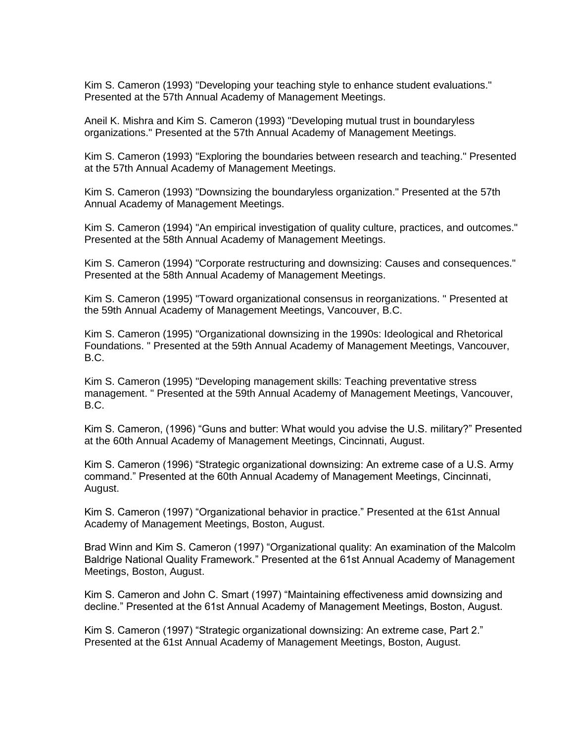Kim S. Cameron (1993) "Developing your teaching style to enhance student evaluations." Presented at the 57th Annual Academy of Management Meetings.

Aneil K. Mishra and Kim S. Cameron (1993) "Developing mutual trust in boundaryless organizations." Presented at the 57th Annual Academy of Management Meetings.

Kim S. Cameron (1993) "Exploring the boundaries between research and teaching." Presented at the 57th Annual Academy of Management Meetings.

Kim S. Cameron (1993) "Downsizing the boundaryless organization." Presented at the 57th Annual Academy of Management Meetings.

Kim S. Cameron (1994) "An empirical investigation of quality culture, practices, and outcomes." Presented at the 58th Annual Academy of Management Meetings.

Kim S. Cameron (1994) "Corporate restructuring and downsizing: Causes and consequences." Presented at the 58th Annual Academy of Management Meetings.

Kim S. Cameron (1995) "Toward organizational consensus in reorganizations. " Presented at the 59th Annual Academy of Management Meetings, Vancouver, B.C.

Kim S. Cameron (1995) "Organizational downsizing in the 1990s: Ideological and Rhetorical Foundations. " Presented at the 59th Annual Academy of Management Meetings, Vancouver, B.C.

Kim S. Cameron (1995) "Developing management skills: Teaching preventative stress management. " Presented at the 59th Annual Academy of Management Meetings, Vancouver, B.C.

Kim S. Cameron, (1996) "Guns and butter: What would you advise the U.S. military?" Presented at the 60th Annual Academy of Management Meetings, Cincinnati, August.

Kim S. Cameron (1996) "Strategic organizational downsizing: An extreme case of a U.S. Army command." Presented at the 60th Annual Academy of Management Meetings, Cincinnati, August.

Kim S. Cameron (1997) "Organizational behavior in practice." Presented at the 61st Annual Academy of Management Meetings, Boston, August.

Brad Winn and Kim S. Cameron (1997) "Organizational quality: An examination of the Malcolm Baldrige National Quality Framework." Presented at the 61st Annual Academy of Management Meetings, Boston, August.

Kim S. Cameron and John C. Smart (1997) "Maintaining effectiveness amid downsizing and decline." Presented at the 61st Annual Academy of Management Meetings, Boston, August.

Kim S. Cameron (1997) "Strategic organizational downsizing: An extreme case, Part 2." Presented at the 61st Annual Academy of Management Meetings, Boston, August.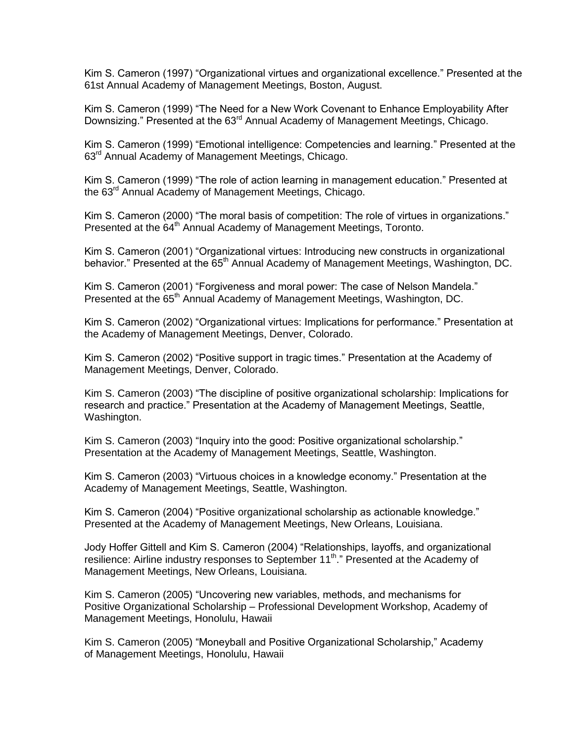Kim S. Cameron (1997) "Organizational virtues and organizational excellence." Presented at the 61st Annual Academy of Management Meetings, Boston, August.

Kim S. Cameron (1999) "The Need for a New Work Covenant to Enhance Employability After Downsizing." Presented at the 63<sup>rd</sup> Annual Academy of Management Meetings, Chicago.

Kim S. Cameron (1999) "Emotional intelligence: Competencies and learning." Presented at the 63<sup>rd</sup> Annual Academy of Management Meetings, Chicago.

Kim S. Cameron (1999) "The role of action learning in management education." Presented at the 63<sup>rd</sup> Annual Academy of Management Meetings, Chicago.

Kim S. Cameron (2000) "The moral basis of competition: The role of virtues in organizations." Presented at the 64<sup>th</sup> Annual Academy of Management Meetings, Toronto.

Kim S. Cameron (2001) "Organizational virtues: Introducing new constructs in organizational behavior." Presented at the 65<sup>th</sup> Annual Academy of Management Meetings, Washington, DC.

Kim S. Cameron (2001) "Forgiveness and moral power: The case of Nelson Mandela." Presented at the 65<sup>th</sup> Annual Academy of Management Meetings, Washington, DC.

Kim S. Cameron (2002) "Organizational virtues: Implications for performance." Presentation at the Academy of Management Meetings, Denver, Colorado.

Kim S. Cameron (2002) "Positive support in tragic times." Presentation at the Academy of Management Meetings, Denver, Colorado.

Kim S. Cameron (2003) "The discipline of positive organizational scholarship: Implications for research and practice." Presentation at the Academy of Management Meetings, Seattle, Washington.

Kim S. Cameron (2003) "Inquiry into the good: Positive organizational scholarship." Presentation at the Academy of Management Meetings, Seattle, Washington.

Kim S. Cameron (2003) "Virtuous choices in a knowledge economy." Presentation at the Academy of Management Meetings, Seattle, Washington.

Kim S. Cameron (2004) "Positive organizational scholarship as actionable knowledge." Presented at the Academy of Management Meetings, New Orleans, Louisiana.

Jody Hoffer Gittell and Kim S. Cameron (2004) "Relationships, layoffs, and organizational resilience: Airline industry responses to September 11<sup>th</sup>." Presented at the Academy of Management Meetings, New Orleans, Louisiana.

Kim S. Cameron (2005) "Uncovering new variables, methods, and mechanisms for Positive Organizational Scholarship – Professional Development Workshop, Academy of Management Meetings, Honolulu, Hawaii

Kim S. Cameron (2005) "Moneyball and Positive Organizational Scholarship," Academy of Management Meetings, Honolulu, Hawaii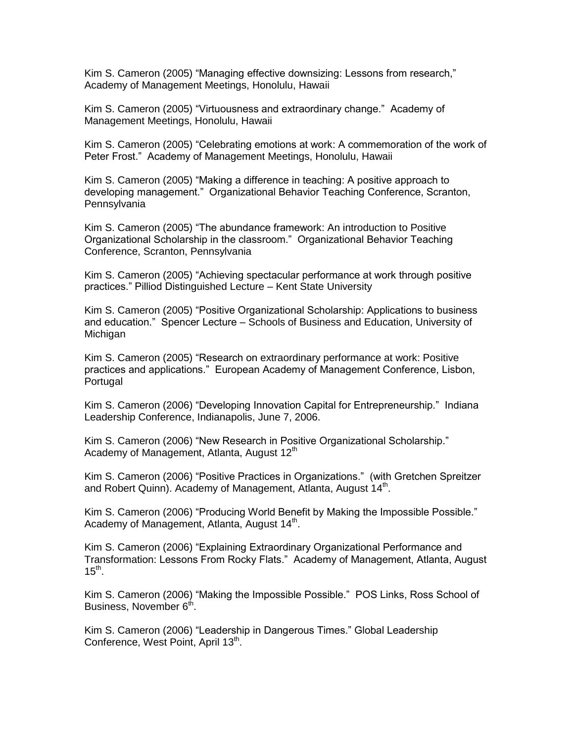Kim S. Cameron (2005) "Managing effective downsizing: Lessons from research," Academy of Management Meetings, Honolulu, Hawaii

Kim S. Cameron (2005) "Virtuousness and extraordinary change." Academy of Management Meetings, Honolulu, Hawaii

Kim S. Cameron (2005) "Celebrating emotions at work: A commemoration of the work of Peter Frost." Academy of Management Meetings, Honolulu, Hawaii

Kim S. Cameron (2005) "Making a difference in teaching: A positive approach to developing management." Organizational Behavior Teaching Conference, Scranton, **Pennsylvania** 

Kim S. Cameron (2005) "The abundance framework: An introduction to Positive Organizational Scholarship in the classroom." Organizational Behavior Teaching Conference, Scranton, Pennsylvania

Kim S. Cameron (2005) "Achieving spectacular performance at work through positive practices." Pilliod Distinguished Lecture – Kent State University

Kim S. Cameron (2005) "Positive Organizational Scholarship: Applications to business and education." Spencer Lecture – Schools of Business and Education, University of Michigan

Kim S. Cameron (2005) "Research on extraordinary performance at work: Positive practices and applications." European Academy of Management Conference, Lisbon, Portugal

Kim S. Cameron (2006) "Developing Innovation Capital for Entrepreneurship." Indiana Leadership Conference, Indianapolis, June 7, 2006.

Kim S. Cameron (2006) "New Research in Positive Organizational Scholarship." Academy of Management, Atlanta, August 12<sup>th</sup>

Kim S. Cameron (2006) "Positive Practices in Organizations." (with Gretchen Spreitzer and Robert Quinn). Academy of Management, Atlanta, August 14<sup>th</sup>.

Kim S. Cameron (2006) "Producing World Benefit by Making the Impossible Possible." Academy of Management, Atlanta, August 14<sup>th</sup>.

Kim S. Cameron (2006) "Explaining Extraordinary Organizational Performance and Transformation: Lessons From Rocky Flats." Academy of Management, Atlanta, August  $15<sup>th</sup>$ .

Kim S. Cameron (2006) "Making the Impossible Possible." POS Links, Ross School of Business, November 6<sup>th</sup>.

Kim S. Cameron (2006) "Leadership in Dangerous Times." Global Leadership Conference, West Point, April 13<sup>th</sup>.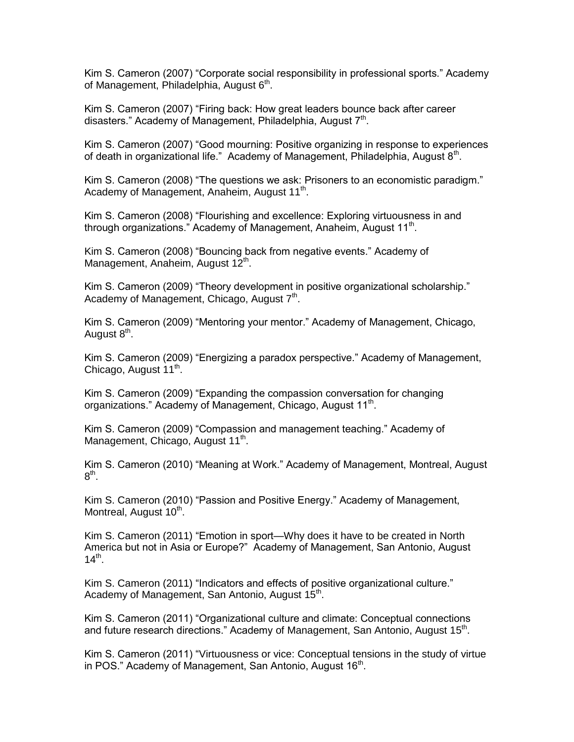Kim S. Cameron (2007) "Corporate social responsibility in professional sports." Academy of Management, Philadelphia, August 6<sup>th</sup>.

Kim S. Cameron (2007) "Firing back: How great leaders bounce back after career disasters." Academy of Management, Philadelphia, August 7<sup>th</sup>.

Kim S. Cameron (2007) "Good mourning: Positive organizing in response to experiences of death in organizational life." Academy of Management, Philadelphia, August  $8<sup>th</sup>$ .

Kim S. Cameron (2008) "The questions we ask: Prisoners to an economistic paradigm." Academy of Management, Anaheim, August 11<sup>th</sup>.

Kim S. Cameron (2008) "Flourishing and excellence: Exploring virtuousness in and through organizations." Academy of Management, Anaheim, August 11<sup>th</sup>.

Kim S. Cameron (2008) "Bouncing back from negative events." Academy of Management, Anaheim, August 12<sup>th</sup>.

Kim S. Cameron (2009) "Theory development in positive organizational scholarship." Academy of Management, Chicago, August 7<sup>th</sup>.

Kim S. Cameron (2009) "Mentoring your mentor." Academy of Management, Chicago, August 8<sup>th</sup>.

Kim S. Cameron (2009) "Energizing a paradox perspective." Academy of Management, Chicago, August 11<sup>th</sup>.

Kim S. Cameron (2009) "Expanding the compassion conversation for changing organizations." Academy of Management, Chicago, August 11<sup>th</sup>.

Kim S. Cameron (2009) "Compassion and management teaching." Academy of Management, Chicago, August 11<sup>th</sup>.

Kim S. Cameron (2010) "Meaning at Work." Academy of Management, Montreal, August  $8^{\text{th}}$ .

Kim S. Cameron (2010) "Passion and Positive Energy." Academy of Management, Montreal, August 10<sup>th</sup>.

Kim S. Cameron (2011) "Emotion in sport—Why does it have to be created in North America but not in Asia or Europe?" Academy of Management, San Antonio, August  $14^{th}$ .

Kim S. Cameron (2011) "Indicators and effects of positive organizational culture." Academy of Management, San Antonio, August 15<sup>th</sup>.

Kim S. Cameron (2011) "Organizational culture and climate: Conceptual connections and future research directions." Academy of Management, San Antonio, August 15<sup>th</sup>.

Kim S. Cameron (2011) "Virtuousness or vice: Conceptual tensions in the study of virtue in POS." Academy of Management, San Antonio, August 16<sup>th</sup>.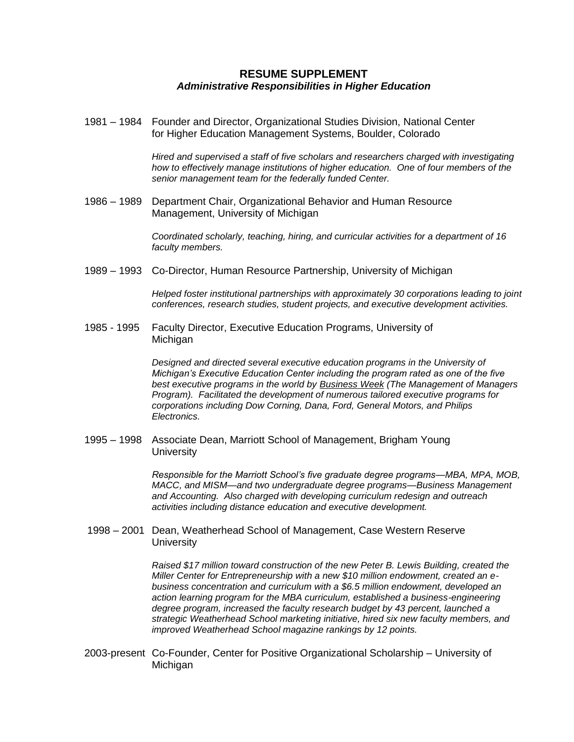#### **RESUME SUPPLEMENT** *Administrative Responsibilities in Higher Education*

1981 – 1984 Founder and Director, Organizational Studies Division, National Center for Higher Education Management Systems, Boulder, Colorado

> *Hired and supervised a staff of five scholars and researchers charged with investigating how to effectively manage institutions of higher education. One of four members of the senior management team for the federally funded Center.*

1986 – 1989 Department Chair, Organizational Behavior and Human Resource Management, University of Michigan

> *Coordinated scholarly, teaching, hiring, and curricular activities for a department of 16 faculty members.*

1989 – 1993 Co-Director, Human Resource Partnership, University of Michigan

*Helped foster institutional partnerships with approximately 30 corporations leading to joint conferences, research studies, student projects, and executive development activities.*

1985 - 1995 Faculty Director, Executive Education Programs, University of Michigan

> *Designed and directed several executive education programs in the University of Michigan's Executive Education Center including the program rated as one of the five best executive programs in the world by Business Week (The Management of Managers Program). Facilitated the development of numerous tailored executive programs for corporations including Dow Corning, Dana, Ford, General Motors, and Philips Electronics.*

1995 – 1998 Associate Dean, Marriott School of Management, Brigham Young **University** 

> *Responsible for the Marriott School's five graduate degree programs—MBA, MPA, MOB, MACC, and MISM—and two undergraduate degree programs—Business Management and Accounting. Also charged with developing curriculum redesign and outreach activities including distance education and executive development.*

1998 – 2001 Dean, Weatherhead School of Management, Case Western Reserve **University** 

> *Raised \$17 million toward construction of the new Peter B. Lewis Building, created the Miller Center for Entrepreneurship with a new \$10 million endowment, created an ebusiness concentration and curriculum with a \$6.5 million endowment, developed an action learning program for the MBA curriculum, established a business-engineering degree program, increased the faculty research budget by 43 percent, launched a strategic Weatherhead School marketing initiative, hired six new faculty members, and improved Weatherhead School magazine rankings by 12 points.*

2003-present Co-Founder, Center for Positive Organizational Scholarship – University of **Michigan**